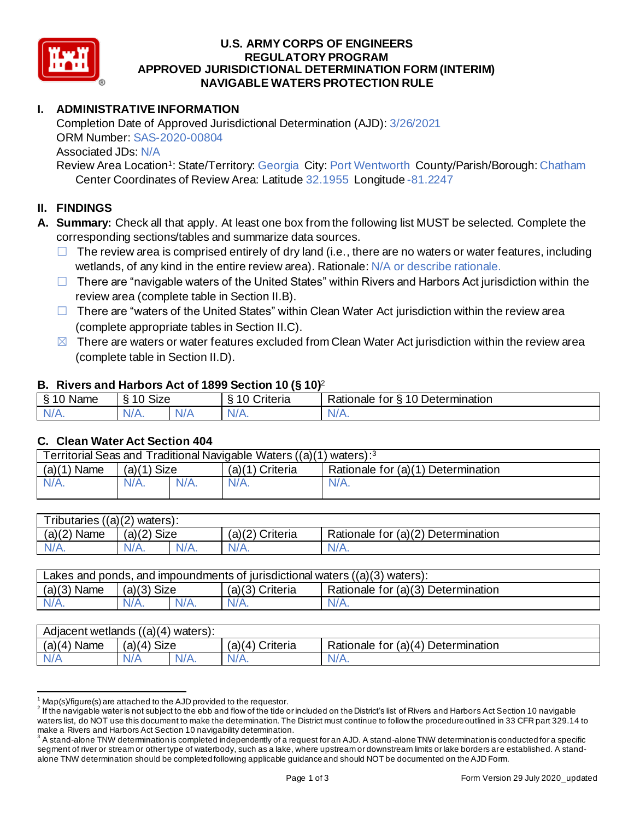

#### **U.S. ARMY CORPS OF ENGINEERS APPROVED JURISDICTIONAL DETERMINATION FORM (INTERIM) NAVIGABLE WATERS PROTECTION RULE REGULATORY PROGRAM**

# **I. ADMINISTRATIVE INFORMATION**

 Completion Date of Approved Jurisdictional Determination (AJD): 3/26/2021 ORM Number: SAS-2020-00804 Associated JDs: N/A

Review Area Location<sup>1</sup>: State/Territory: Georgia City: Port Wentworth County/Parish/Borough: Chatham Center Coordinates of Review Area: Latitude 32.1955 Longitude -81.2247

## **II. FINDINGS**

- **A. Summary:** Check all that apply. At least one box from the following list MUST be selected. Complete the corresponding sections/tables and summarize data sources.
	- $\Box$  The review area is comprised entirely of dry land (i.e., there are no waters or water features, including wetlands, of any kind in the entire review area). Rationale: N/A or describe rationale.
	- □ There are "navigable waters of the United States" within Rivers and Harbors Act jurisdiction within the review area (complete table in Section II.B).
	- □ There are "waters of the United States" within Clean Water Act jurisdiction within the review area (complete appropriate tables in Section II.C).
	- $\boxtimes$  There are waters or water features excluded from Clean Water Act jurisdiction within the review area (complete table in Section II.D).

## **B. Rivers and Harbors Act of 1899 Section 10 (§ 10)**<sup>2</sup>

|                    |                                 | $\cdot$                                 |                                                |
|--------------------|---------------------------------|-----------------------------------------|------------------------------------------------|
| \$10<br>Name<br>л. | $\lambda$ $\sim$ $\sim$<br>SIZE | $\sim$<br><b><i><u>Criteria</u></i></b> | 10 Determination<br>∽<br>Rationale<br>tor<br>- |
| N/A.               | 7 / ای<br>VIT.                  | w / 1                                   | $\mathbf{v}$                                   |
|                    |                                 |                                         |                                                |

## **C. Clean Water Act Section 404**

| Territorial Seas and Traditional Navigable Waters ((a)(1) waters): <sup>3</sup> |               |         |                 |                                    |  |
|---------------------------------------------------------------------------------|---------------|---------|-----------------|------------------------------------|--|
| $(a)(1)$ Name                                                                   | $(a)(1)$ Size |         | (a)(1) Criteria | Rationale for (a)(1) Determination |  |
| $N/A$ .                                                                         | $N/A$ .       | $N/A$ . | $N/A$ .         | $N/A$ .                            |  |
|                                                                                 |               |         |                 |                                    |  |

| Tributaries $((a)(2)$ waters): |               |         |                   |                                    |  |
|--------------------------------|---------------|---------|-------------------|------------------------------------|--|
| $(a)(2)$ Name                  | $(a)(2)$ Size |         | $(a)(2)$ Criteria | Rationale for (a)(2) Determination |  |
| $N/A$ .                        | $N/A$ .       | $N/A$ . | $N/A$ .           | N/A.                               |  |
|                                |               |         |                   |                                    |  |

| $(a)(3)$ Name<br>$(a)(3)$ Size<br>Rationale for (a)(3) Determination<br>$(a)(3)$ Criteria | Lakes and ponds, and impoundments of jurisdictional waters $((a)(3)$ waters): |         |         |         |       |  |
|-------------------------------------------------------------------------------------------|-------------------------------------------------------------------------------|---------|---------|---------|-------|--|
|                                                                                           |                                                                               |         |         |         |       |  |
|                                                                                           | $N/A$ .                                                                       | $N/A$ . | $N/A$ . | $N/A$ . | 'V/A. |  |

| ((a)(4))<br>waters):<br>Adjacent wetlands |                                             |         |                    |                                           |  |
|-------------------------------------------|---------------------------------------------|---------|--------------------|-------------------------------------------|--|
| (a)(4)<br><b>Name</b>                     | <b>Size</b><br>$\mathbf{A}^{\prime}$<br>(a) |         | Criteria<br>(a)(4) | Determination<br>Rationale for<br>∶(a)(4) |  |
|                                           | \/a                                         | $N/A$ . | N/A.               | 'N/A                                      |  |
|                                           |                                             |         |                    |                                           |  |

 $1$  Map(s)/figure(s) are attached to the AJD provided to the requestor.

 $^2$  If the navigable water is not subject to the ebb and flow of the tide or included on the District's list of Rivers and Harbors Act Section 10 navigable waters list, do NOT use this document to make the determination. The District must continue to follow the procedure outlined in 33 CFR part 329.14 to make a Rivers and Harbors Act Section 10 navigability determination.

 $^3$  A stand-alone TNW determination is completed independently of a request for an AJD. A stand-alone TNW determination is conducted for a specific segment of river or stream or other type of waterbody, such as a lake, where upstream or downstream limits or lake borders are established. A stand-alone TNW determination should be completed following applicable guidance and should NOT be documented on the AJD Form.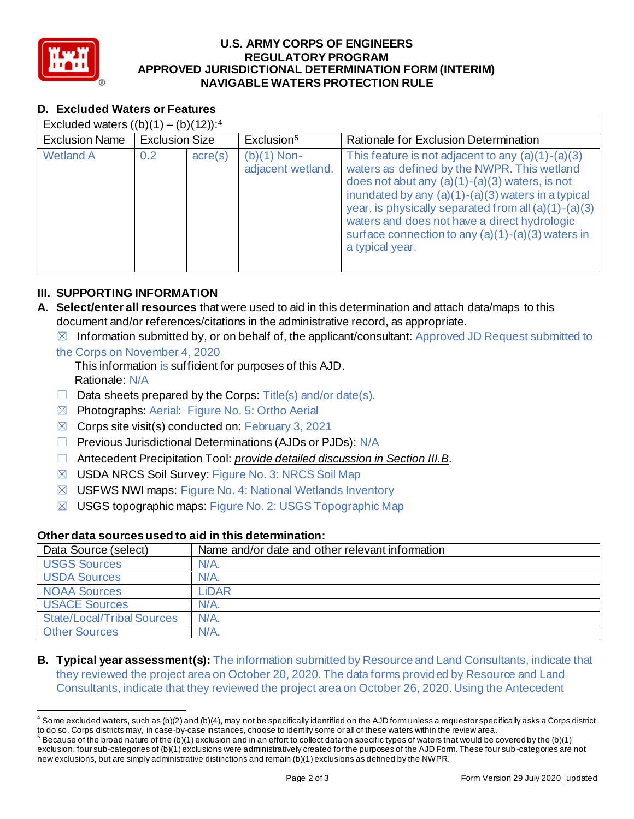

#### **U.S. ARMY CORPS OF ENGINEERS APPROVED JURISDICTIONAL DETERMINATION FORM (INTERIM) NAVIGABLE WATERS PROTECTION RULE REGULATORY PROGRAM**

# **D. Excluded Waters or Features**

| D. Excluded Waters or Features                      |                       |                  |                                    |                                                                                                                                                                                                                                                                                                                                                                                                  |  |  |
|-----------------------------------------------------|-----------------------|------------------|------------------------------------|--------------------------------------------------------------------------------------------------------------------------------------------------------------------------------------------------------------------------------------------------------------------------------------------------------------------------------------------------------------------------------------------------|--|--|
| Excluded waters $((b)(1) - (b)(12))$ : <sup>4</sup> |                       |                  |                                    |                                                                                                                                                                                                                                                                                                                                                                                                  |  |  |
| <b>Exclusion Name</b>                               | <b>Exclusion Size</b> |                  | Exclusion <sup>5</sup>             | Rationale for Exclusion Determination                                                                                                                                                                                                                                                                                                                                                            |  |  |
| <b>Wetland A</b>                                    | 0.2                   | $\text{acre}(s)$ | $(b)(1)$ Non-<br>adjacent wetland. | This feature is not adjacent to any $(a)(1)-(a)(3)$<br>waters as defined by the NWPR. This wetland<br>does not abut any $(a)(1)-(a)(3)$ waters, is not<br>inundated by any $(a)(1)-(a)(3)$ waters in a typical<br>year, is physically separated from all (a)(1)-(a)(3)<br>waters and does not have a direct hydrologic<br>surface connection to any $(a)(1)-(a)(3)$ waters in<br>a typical year. |  |  |

## **III. SUPPORTING INFORMATION**

- **A. Select/enter all resources** that were used to aid in this determination and attach data/maps to this document and/or references/citations in the administrative record, as appropriate.
	- $\boxtimes$  Information submitted by, or on behalf of, the applicant/consultant: Approved JD Request submitted to the Corps on November 4, 2020
		- This information is sufficient for purposes of this AJD. Rationale: N/A
		- $\Box$  Data sheets prepared by the Corps: Title(s) and/or date(s).
		- ☒ Photographs: Aerial: Figure No. 5: Ortho Aerial
		- $\boxtimes$  Corps site visit(s) conducted on: February 3, 2021
		- □ Previous Jurisdictional Determinations (AJDs or PJDs): N/A
		- ☐ Antecedent Precipitation Tool: *provide detailed discussion in Section III.B*.
		- ☒ USDA NRCS Soil Survey: Figure No. 3: NRCS Soil Map
		- ☒ USFWS NWI maps: Figure No. 4: National Wetlands Inventory
		- ☒ USGS topographic maps: Figure No. 2: USGS Topographic Map

## **Other data sources used to aid in this determination:**

| Data Source (select)       | Name and/or date and other relevant information |
|----------------------------|-------------------------------------------------|
| <b>USGS Sources</b>        | $N/A$ .                                         |
| <b>USDA Sources</b>        | $N/A$ .                                         |
| NOAA Sources               | LiDAR                                           |
| <b>USACE Sources</b>       | $N/A$ .                                         |
| State/Local/Tribal Sources | $N/A$ .                                         |
| <b>Other Sources</b>       | N/A                                             |

**B. Typical year assessment(s):** The information submitted by Resource and Land Consultants, indicate that they reviewed the project area on October 20, 2020. The data forms provided by Resource and Land Consultants, indicate that they reviewed the project area on October 26, 2020. Using the Antecedent

 $^4$  Some excluded waters, such as (b)(2) and (b)(4), may not be specifically identified on the AJD form unless a requestor specifically asks a Corps district to do so. Corps districts may, in case-by-case instances, choose to identify some or all of these waters within the review area.

to do so. Corps districts may, in case-by-case instances, choose to identify some or all of these waters within the review area.<br><sup>5</sup> Because of the broad nature of the (b)(1) exclusion and in an effort to collect dataon sp exclusion, four sub-categories of (b)(1) exclusions were administratively created for the purposes of the AJD Form. These four sub -categories are not new exclusions, but are simply administrative distinctions and remain (b)(1) exclusions as defined by the NWPR.